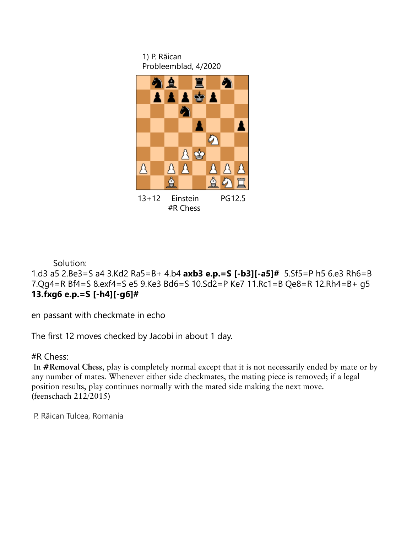1) P. Rãican Probleemblad, 4/2020



Solution:

1.d3 a5 2.Be3=S a4 3.Kd2 Ra5=B+ 4.b4 **axb3 e.p.=S [-b3][-a5]#** 5.Sf5=P h5 6.e3 Rh6=B 7.Qg4=R Bf4=S 8.exf4=S e5 9.Ke3 Bd6=S 10.Sd2=P Ke7 11.Rc1=B Qe8=R 12.Rh4=B+ g5 **13.fxg6 e.p.=S [-h4][-g6]#**

en passant with checkmate in echo

The first 12 moves checked by Jacobi in about 1 day.

#R Chess:

In **#Removal Chess**, play is completely normal except that it is not necessarily ended by mate or by any number of mates. Whenever either side checkmates, the mating piece is removed; if a legal position results, play continues normally with the mated side making the next move. (feenschach 212/2015)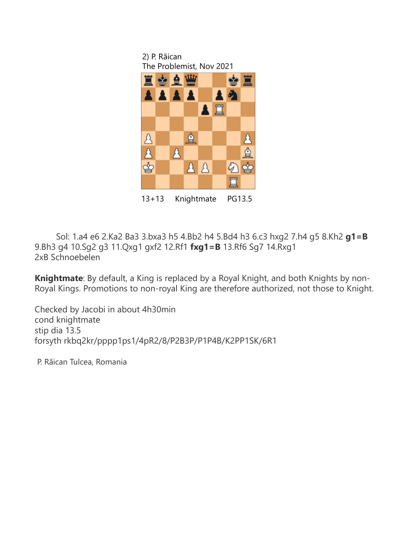

13+13 Knightmate PG13.5

 Sol: 1.a4 e6 2.Ka2 Ba3 3.bxa3 h5 4.Bb2 h4 5.Bd4 h3 6.c3 hxg2 7.h4 g5 8.Kh2 **g1=B** 9.Bh3 g4 10.Sg2 g3 11.Qxg1 gxf2 12.Rf1 **fxg1=B** 13.Rf6 Sg7 14.Rxg1 2xB Schnoebelen

**Knightmate**: By default, a King is replaced by a Royal Knight, and both Knights by non-Royal Kings. Promotions to non-royal King are therefore authorized, not those to Knight.

Checked by Jacobi in about 4h30min cond knightmate stip dia 13.5 forsyth rkbq2kr/pppp1ps1/4pR2/8/P2B3P/P1P4B/K2PP1SK/6R1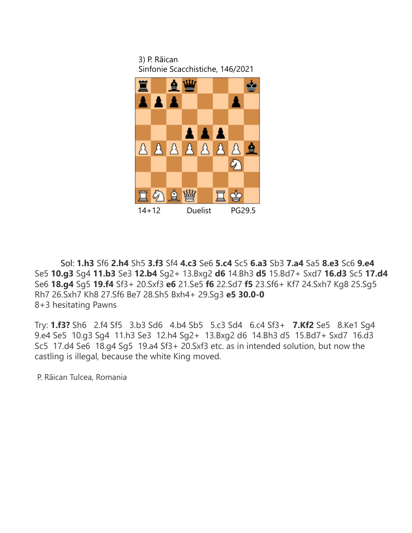3) P. Rãican Sinfonie Scacchistiche, 146/2021



 Sol: **1.h3** Sf6 **2.h4** Sh5 **3.f3** Sf4 **4.c3** Se6 **5.c4** Sc5 **6.a3** Sb3 **7.a4** Sa5 **8.e3** Sc6 **9.e4** Se5 **10.g3** Sg4 **11.b3** Se3 **12.b4** Sg2+ 13.Bxg2 **d6** 14.Bh3 **d5** 15.Bd7+ Sxd7 **16.d3** Sc5 **17.d4** Se6 **18.g4** Sg5 **19.f4** Sf3+ 20.Sxf3 **e6** 21.Se5 **f6** 22.Sd7 **f5** 23.Sf6+ Kf7 24.Sxh7 Kg8 25.Sg5 Rh7 26.Sxh7 Kh8 27.Sf6 Be7 28.Sh5 Bxh4+ 29.Sg3 **e5 30.0-0** 8+3 hesitating Pawns

Try: **1.f3?** Sh6 2.f4 Sf5 3.b3 Sd6 4.b4 Sb5 5.c3 Sd4 6.c4 Sf3+ **7.Kf2** Se5 8.Ke1 Sg4 9.e4 Se5 10.g3 Sg4 11.h3 Se3 12.h4 Sg2+ 13.Bxg2 d6 14.Bh3 d5 15.Bd7+ Sxd7 16.d3 Sc5 17.d4 Se6 18.g4 Sg5 19.a4 Sf3+ 20.Sxf3 etc. as in intended solution, but now the castling is illegal, because the white King moved.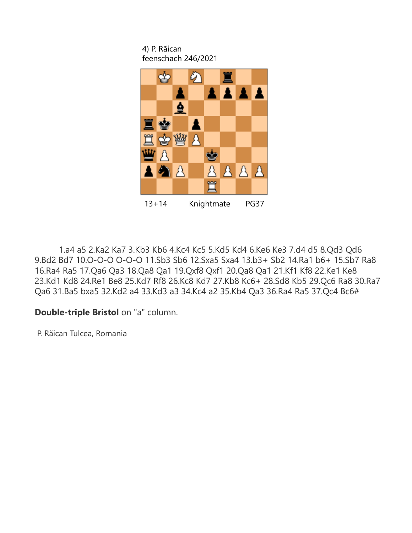4) P. Rãican feenschach 246/2021



13+14 Knightmate PG37

 1.a4 a5 2.Ka2 Ka7 3.Kb3 Kb6 4.Kc4 Kc5 5.Kd5 Kd4 6.Ke6 Ke3 7.d4 d5 8.Qd3 Qd6 9.Bd2 Bd7 10.O-O-O O-O-O 11.Sb3 Sb6 12.Sxa5 Sxa4 13.b3+ Sb2 14.Ra1 b6+ 15.Sb7 Ra8 16.Ra4 Ra5 17.Qa6 Qa3 18.Qa8 Qa1 19.Qxf8 Qxf1 20.Qa8 Qa1 21.Kf1 Kf8 22.Ke1 Ke8 23.Kd1 Kd8 24.Re1 Be8 25.Kd7 Rf8 26.Kc8 Kd7 27.Kb8 Kc6+ 28.Sd8 Kb5 29.Qc6 Ra8 30.Ra7 Qa6 31.Ba5 bxa5 32.Kd2 a4 33.Kd3 a3 34.Kc4 a2 35.Kb4 Qa3 36.Ra4 Ra5 37.Qc4 Bc6#

## **Double-triple Bristol** on "a" column.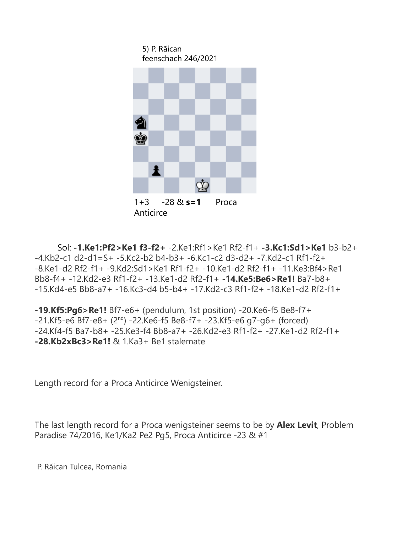

 Sol: **-1.Ke1:Pf2>Ke1 f3-f2+** -2.Ke1:Rf1>Ke1 Rf2-f1+ **-3.Kc1:Sd1>Ke1** b3-b2+ -4.Kb2-c1 d2-d1=S+ -5.Kc2-b2 b4-b3+ -6.Kc1-c2 d3-d2+ -7.Kd2-c1 Rf1-f2+ -8.Ke1-d2 Rf2-f1+ -9.Kd2:Sd1>Ke1 Rf1-f2+ -10.Ke1-d2 Rf2-f1+ -11.Ke3:Bf4>Re1 Bb8-f4+ -12.Kd2-e3 Rf1-f2+ -13.Ke1-d2 Rf2-f1+ **-14.Ke5:Be6>Re1!** Ba7-b8+ -15.Kd4-e5 Bb8-a7+ -16.Kc3-d4 b5-b4+ -17.Kd2-c3 Rf1-f2+ -18.Ke1-d2 Rf2-f1+

**-19.Kf5:Pg6>Re1!** Bf7-e6+ (pendulum, 1st position) -20.Ke6-f5 Be8-f7+  $-21.$ Kf5-e6 Bf7-e8+ ( $2<sup>nd</sup>$ )  $-22.$ Ke6-f5 Be8-f7+  $-23.$ Kf5-e6 g7-g6+ (forced) -24.Kf4-f5 Ba7-b8+ -25.Ke3-f4 Bb8-a7+ -26.Kd2-e3 Rf1-f2+ -27.Ke1-d2 Rf2-f1+ **-28.Kb2xBc3>Re1!** & 1.Ka3+ Be1 stalemate

Length record for a Proca Anticirce Wenigsteiner.

The last length record for a Proca wenigsteiner seems to be by **Alex Levit**, Problem Paradise 74/2016, Ke1/Ka2 Pe2 Pg5, Proca Anticirce -23 & #1